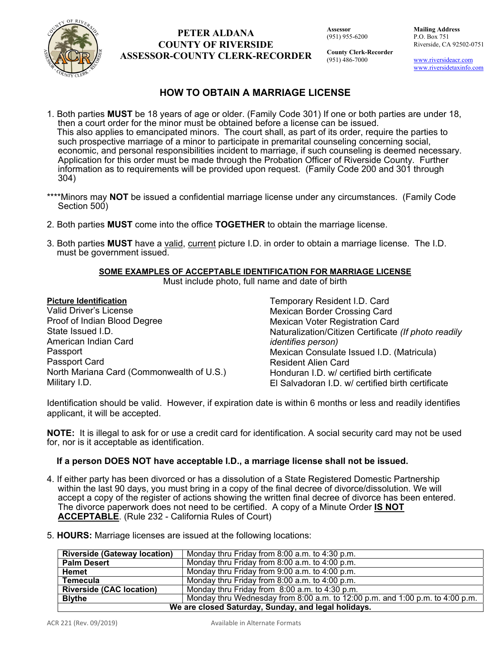

## **PETER ALDANA COUNTY OF RIVERSIDE ASSESSOR-COUNTY CLERK-RECORDER**

**Assessor** (951) 955-6200 **Mailing Address**  P.O. Box 751 Riverside, CA 92502-0751

**County Clerk-Recorder** (951) 486-7000

www.riversideacr.com www.riversidetaxinfo.com

# **HOW TO OBTAIN A MARRIAGE LICENSE**

- 1. Both parties **MUST** be 18 years of age or older. (Family Code 301) If one or both parties are under 18, then a court order for the minor must be obtained before a license can be issued. This also applies to emancipated minors. The court shall, as part of its order, require the parties to such prospective marriage of a minor to participate in premarital counseling concerning social, economic, and personal responsibilities incident to marriage, if such counseling is deemed necessary. Application for this order must be made through the Probation Officer of Riverside County. Further information as to requirements will be provided upon request. (Family Code 200 and 301 through 304)
- \*\*\*\*Minors may **NOT** be issued a confidential marriage license under any circumstances. (Family Code Section 500)
- 2. Both parties **MUST** come into the office **TOGETHER** to obtain the marriage license.
- 3. Both parties **MUST** have a valid, current picture I.D. in order to obtain a marriage license. The I.D. must be government issued.

## **SOME EXAMPLES OF ACCEPTABLE IDENTIFICATION FOR MARRIAGE LICENSE**

Must include photo, full name and date of birth

#### **Picture Identification**

| <b>Picture Identification</b>             | Temporary Resident I.D. Card                         |  |
|-------------------------------------------|------------------------------------------------------|--|
| Valid Driver's License                    | <b>Mexican Border Crossing Card</b>                  |  |
| Proof of Indian Blood Degree              | Mexican Voter Registration Card                      |  |
| State Issued I.D.                         | Naturalization/Citizen Certificate (If photo readily |  |
| American Indian Card                      | <i>identifies person)</i>                            |  |
| Passport                                  | Mexican Consulate Issued I.D. (Matricula)            |  |
| Passport Card                             | <b>Resident Alien Card</b>                           |  |
| North Mariana Card (Commonwealth of U.S.) | Honduran I.D. w/ certified birth certificate         |  |
| Military I.D.                             | El Salvadoran I.D. w/ certified birth certificate    |  |

Identification should be valid. However, if expiration date is within 6 months or less and readily identifies applicant, it will be accepted.

**NOTE:** It is illegal to ask for or use a credit card for identification. A social security card may not be used for, nor is it acceptable as identification.

## **If a person DOES NOT have acceptable I.D., a marriage license shall not be issued.**

- 4. If either party has been divorced or has a dissolution of a State Registered Domestic Partnership within the last 90 days, you must bring in a copy of the final decree of divorce/dissolution. We will accept a copy of the register of actions showing the written final decree of divorce has been entered. The divorce paperwork does not need to be certified. A copy of a Minute Order **IS NOT ACCEPTABLE**. (Rule 232 - California Rules of Court)
- 5. **HOURS:** Marriage licenses are issued at the following locations:

| <b>Riverside (Gateway location)</b>                 | Monday thru Friday from 8:00 a.m. to 4:30 p.m.                                |  |
|-----------------------------------------------------|-------------------------------------------------------------------------------|--|
| <b>Palm Desert</b>                                  | Monday thru Friday from 8:00 a.m. to 4:00 p.m.                                |  |
| Hemet                                               | Monday thru Friday from 9:00 a.m. to 4:00 p.m.                                |  |
| <b>Temecula</b>                                     | Monday thru Friday from 8:00 a.m. to 4:00 p.m.                                |  |
| <b>Riverside (CAC location)</b>                     | Monday thru Friday from 8:00 a.m. to 4:30 p.m.                                |  |
| <b>Blythe</b>                                       | Monday thru Wednesday from 8:00 a.m. to 12:00 p.m. and 1:00 p.m. to 4:00 p.m. |  |
| We are closed Saturday, Sunday, and legal holidays. |                                                                               |  |